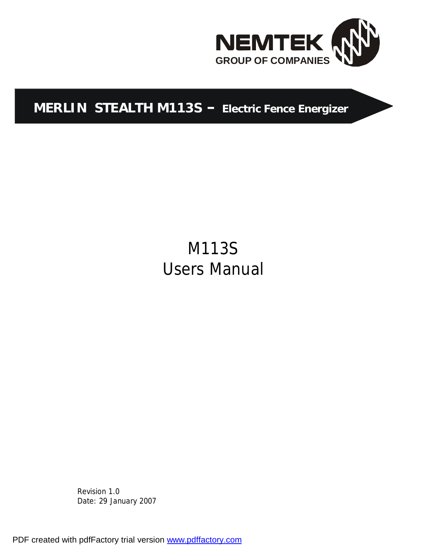

# **MERLIN STEALTH M113S – Electric Fence Energizer**

# M113S Users Manual

Revision 1.0 Date: 29 January 2007

PDF created with pdfFactory trial version [www.pdffactory.com](http://www.pdffactory.com)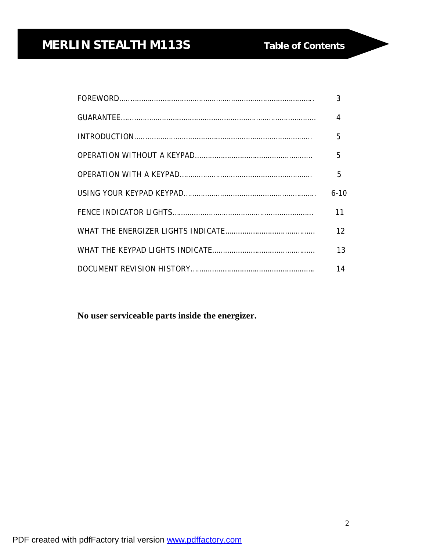| 3                 |
|-------------------|
| $\overline{4}$    |
| 5                 |
|                   |
| 5                 |
| $6 - 10$          |
| 11                |
| $12 \overline{ }$ |
| 13                |
| 14                |

**No user serviceable parts inside the energizer.**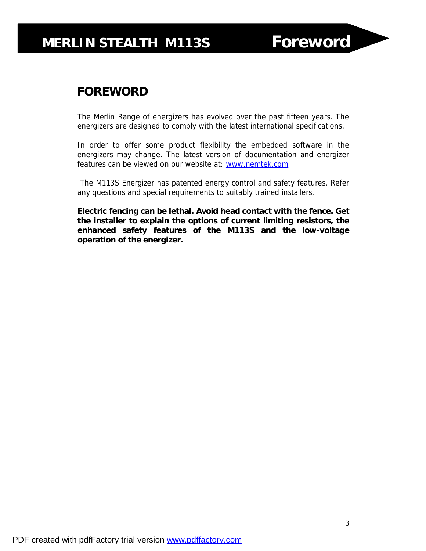## **FOREWORD**

The Merlin Range of energizers has evolved over the past fifteen years. The energizers are designed to comply with the latest international specifications.

In order to offer some product flexibility the embedded software in the energizers may change. The latest version of documentation and energizer features can be viewed on our website at: [www.nemtek.com](http://www.nemtek.com)

The M113S Energizer has patented energy control and safety features. Refer any questions and special requirements to suitably trained installers.

**Electric fencing can be lethal. Avoid head contact with the fence. Get the installer to explain the options of current limiting resistors, the enhanced safety features of the M113S and the low-voltage operation of the energizer.**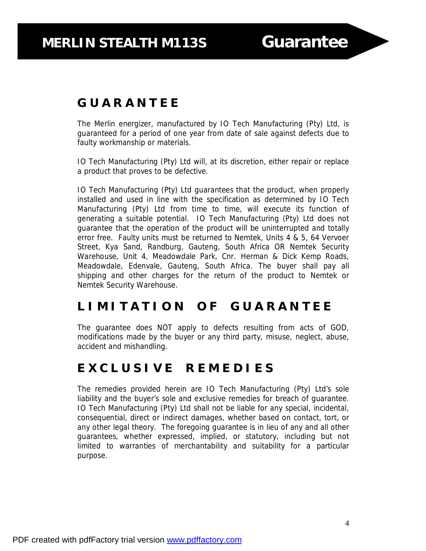## **G U A R A N T E E**

The Merlin energizer, manufactured by IO Tech Manufacturing (Pty) Ltd, is guaranteed for a period of one year from date of sale against defects due to faulty workmanship or materials.

IO Tech Manufacturing (Pty) Ltd will, at its discretion, either repair or replace a product that proves to be defective.

IO Tech Manufacturing (Pty) Ltd guarantees that the product, when properly installed and used in line with the specification as determined by IO Tech Manufacturing (Pty) Ltd from time to time, will execute its function of generating a suitable potential. IO Tech Manufacturing (Pty) Ltd does not guarantee that the operation of the product will be uninterrupted and totally error free. Faulty units must be returned to Nemtek, Units 4 & 5, 64 Vervoer Street, Kya Sand, Randburg, Gauteng, South Africa OR Nemtek Security Warehouse, Unit 4, Meadowdale Park, Cnr. Herman & Dick Kemp Roads, Meadowdale, Edenvale, Gauteng, South Africa. The buyer shall pay all shipping and other charges for the return of the product to Nemtek or Nemtek Security Warehouse.

## **L I M I T A T I O N O F G U A R A N T E E**

The guarantee does NOT apply to defects resulting from acts of GOD, modifications made by the buyer or any third party, misuse, neglect, abuse, accident and mishandling.

## **E X C L U S I V E R E M E D I E S**

The remedies provided herein are IO Tech Manufacturing (Pty) Ltd's sole liability and the buyer's sole and exclusive remedies for breach of guarantee. IO Tech Manufacturing (Pty) Ltd shall not be liable for any special, incidental, consequential, direct or indirect damages, whether based on contact, tort, or any other legal theory. The foregoing guarantee is in lieu of any and all other guarantees, whether expressed, implied, or statutory, including but not limited to warranties of merchantability and suitability for a particular purpose.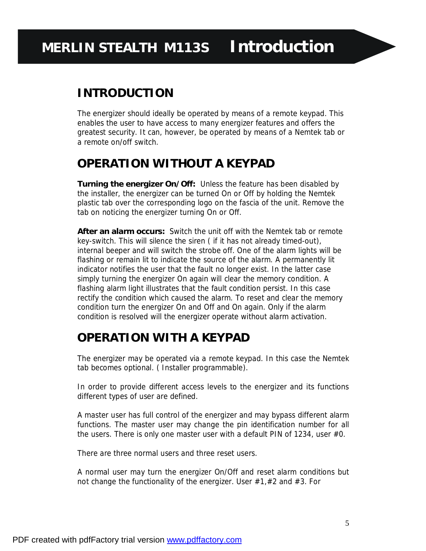## **INTRODUCTION**

The energizer should ideally be operated by means of a remote keypad. This enables the user to have access to many energizer features and offers the greatest security. It can, however, be operated by means of a Nemtek tab or a remote on/off switch.

## **OPERATION WITHOUT A KEYPAD**

**Turning the energizer On/Off:** Unless the feature has been disabled by the installer, the energizer can be turned On or Off by holding the Nemtek plastic tab over the corresponding logo on the fascia of the unit. Remove the tab on noticing the energizer turning On or Off.

**After an alarm occurs:** Switch the unit off with the Nemtek tab or remote key-switch. This will silence the siren ( if it has not already timed-out), internal beeper and will switch the strobe off. One of the alarm lights will be flashing or remain lit to indicate the source of the alarm. A permanently lit indicator notifies the user that the fault no longer exist. In the latter case simply turning the energizer On again will clear the memory condition. A flashing alarm light illustrates that the fault condition persist. In this case rectify the condition which caused the alarm. To reset and clear the memory condition turn the energizer On and Off and On again. Only if the alarm condition is resolved will the energizer operate without alarm activation.

## **OPERATION WITH A KEYPAD**

The energizer may be operated via a remote keypad. In this case the Nemtek tab becomes optional. ( Installer programmable).

In order to provide different access levels to the energizer and its functions different types of user are defined.

A master user has full control of the energizer and may bypass different alarm functions. The master user may change the pin identification number for all the users. There is only one master user with a default PIN of 1234, user #0.

There are three normal users and three reset users.

A normal user may turn the energizer On/Off and reset alarm conditions but not change the functionality of the energizer. User #1,#2 and #3. For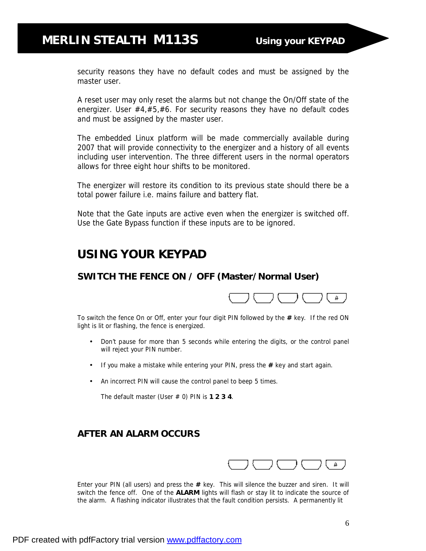## **MERLIN STEALTH M113S Using your KEYPAD**

security reasons they have no default codes and must be assigned by the master user.

A reset user may only reset the alarms but not change the On/Off state of the energizer. User #4,#5,#6. For security reasons they have no default codes and must be assigned by the master user.

The embedded Linux platform will be made commercially available during 2007 that will provide connectivity to the energizer and a history of all events including user intervention. The three different users in the normal operators allows for three eight hour shifts to be monitored.

The energizer will restore its condition to its previous state should there be a total power failure i.e. mains failure and battery flat.

Note that the *Gate inputs are active even when the energizer is switched off*. Use the Gate Bypass function if these inputs are to be ignored.

## **USING YOUR KEYPAD**

#### **SWITCH THE FENCE ON / OFF (Master/Normal User)**



To switch the fence On or Off, enter your four digit PIN followed by the **#** key. If the red ON light is lit or flashing, the fence is energized.

- Don't pause for more than 5 seconds while entering the digits, or the control panel will reject your PIN number.
- If you make a mistake while entering your PIN, press the **#** key and start again.
- An incorrect PIN will cause the control panel to beep 5 times.

The default master (User # 0) PIN is **1 2 3 4**.

#### **AFTER AN ALARM OCCURS**



Enter your PIN (all users) and press the **#** key. This will silence the buzzer and siren. It will switch the fence off. One of the **ALARM** lights will flash or stay lit to indicate the source of the alarm. A flashing indicator illustrates that the fault condition persists. A permanently lit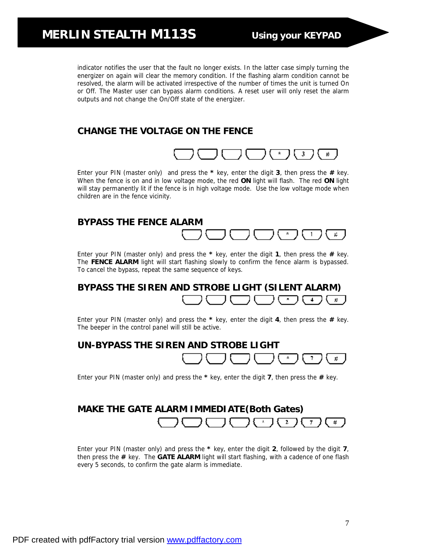indicator notifies the user that the fault no longer exists. In the latter case simply turning the energizer on again will clear the memory condition. If the flashing alarm condition cannot be resolved, the alarm will be activated irrespective of the number of times the unit is turned On or Off. The Master user can bypass alarm conditions. A reset user will only reset the alarm outputs and not change the On/Off state of the energizer.

### **CHANGE THE VOLTAGE ON THE FENCE**



Enter your PIN (master only) and press the **\*** key, enter the digit **3**, then press the **#** key. When the fence is on and in low voltage mode, the red **ON** light will flash. The red **ON** light will stay permanently lit if the fence is in high voltage mode. Use the low voltage mode when children are in the fence vicinity.

#### **BYPASS THE FENCE ALARM**



Enter your PIN (master only) and press the **\*** key, enter the digit **1**, then press the **#** key. The **FENCE ALARM** light will start flashing slowly to confirm the fence alarm is bypassed. To cancel the bypass, repeat the same sequence of keys.

#### **BYPASS THE SIREN AND STROBE LIGHT (SILENT ALARM)**   $\rightarrow$  $\sim$  $\clubsuit$ #

Enter your PIN (master only) and press the **\*** key, enter the digit **4**, then press the **#** key. The beeper in the control panel will still be active.



Enter your PIN (master only) and press the **\*** key, enter the digit **7**, then press the **#** key.

#### **MAKE THE GATE ALARM IMMEDIATE(Both Gates)**   $\mathcal{K}_\mathrm{c}$ 2 7 #

Enter your PIN (master only) and press the **\*** key, enter the digit **2**, followed by the digit **7**, then press the **#** key. The **GATE ALARM** light will start flashing, with a cadence of one flash every 5 seconds, to confirm the gate alarm is immediate.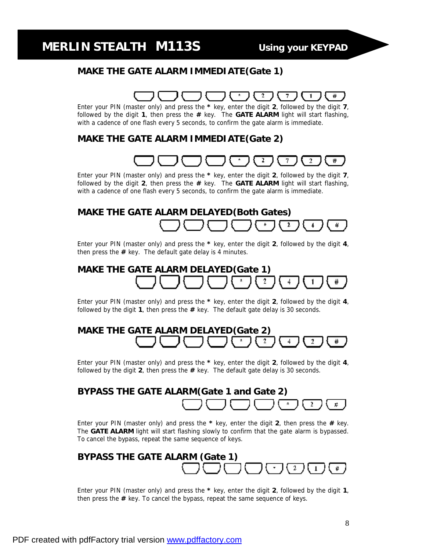## **MERLIN STEALTH M113S Using your KEYPAD**

#### **MAKE THE GATE ALARM IMMEDIATE(Gate 1)**

## 2

Enter your PIN (master only) and press the **\*** key, enter the digit **2**, followed by the digit **7**, followed by the digit **1**, then press the **#** key. The **GATE ALARM** light will start flashing, with a cadence of one flash every 5 seconds, to confirm the gate alarm is immediate.

#### **MAKE THE GATE ALARM IMMEDIATE(Gate 2)**



 Enter your PIN (master only) and press the **\*** key, enter the digit **2**, followed by the digit **7**, followed by the digit **2**, then press the **#** key. The **GATE ALARM** light will start flashing, with a cadence of one flash every 5 seconds, to confirm the gate alarm is immediate.

#### **MAKE THE GATE ALARM DELAYED(Both Gates)**  2 #

Enter your PIN (master only) and press the **\*** key, enter the digit **2**, followed by the digit **4**, then press the **#** key. The default gate delay is 4 minutes.

## **MAKE THE GATE ALARM DELAYED(Gate 1)**  #

Enter your PIN (master only) and press the **\*** key, enter the digit **2**, followed by the digit **4**, followed by the digit **1**, then press the **#** key. The default gate delay is 30 seconds.

### **MAKE THE GATE ALARM DELAYED(Gate 2)**  #

Enter your PIN (master only) and press the **\*** key, enter the digit **2**, followed by the digit **4**, followed by the digit **2**, then press the **#** key. The default gate delay is 30 seconds.

## **BYPASS THE GATE ALARM(Gate 1 and Gate 2)**  #

Enter your PIN (master only) and press the **\*** key, enter the digit **2**, then press the **#** key. The **GATE ALARM** light will start flashing slowly to confirm that the gate alarm is bypassed. To cancel the bypass, repeat the same sequence of keys.



Enter your PIN (master only) and press the **\*** key, enter the digit **2**, followed by the digit **1**, then press the **#** key. To cancel the bypass, repeat the same sequence of keys.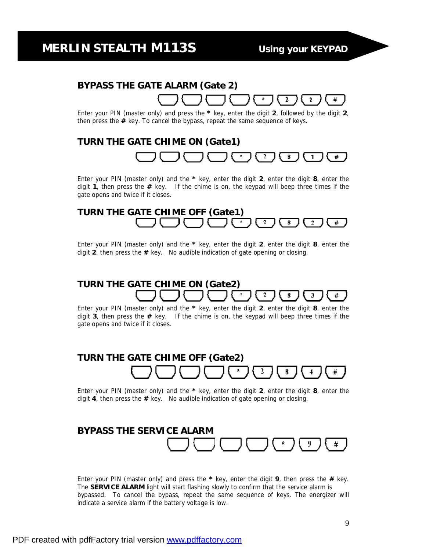#

₩

### **BYPASS THE GATE ALARM (Gate 2)**

Enter your PIN (master only) and press the **\*** key, enter the digit **2**, followed by the digit **2**, then press the **#** key. To cancel the bypass, repeat the same sequence of keys.

## **TURN THE GATE CHIME ON (Gate1)**  8

Enter your PIN (master only) and the **\*** key, enter the digit **2**, enter the digit **8**, enter the digit **1**, then press the **#** key. If the chime is on, the keypad will beep three times if the gate opens and twice if it closes.

#### **TURN THE GATE CHIME OFF (Gate1)**   $\overline{2}$ # 8

Enter your PIN (master only) and the **\*** key, enter the digit **2**, enter the digit **8**, enter the digit **2**, then press the **#** key. No audible indication of gate opening or closing.

#### **TURN THE GATE CHIME ON (Gate2)**  2 8 # з

Enter your PIN (master only) and the **\*** key, enter the digit **2**, enter the digit **8**, enter the digit **3**, then press the **#** key. If the chime is on, the keypad will beep three times if the gate opens and twice if it closes.

#### **TURN THE GATE CHIME OFF (Gate2)**  2 8 #

Enter your PIN (master only) and the **\*** key, enter the digit **2**, enter the digit **8**, enter the digit **4**, then press the **#** key. No audible indication of gate opening or closing.

## **BYPASS THE SERVICE ALARM**  #

Enter your PIN (master only) and press the **\*** key, enter the digit **9**, then press the **#** key. The **SERVICE ALARM** light will start flashing slowly to confirm that the service alarm is bypassed. To cancel the bypass, repeat the same sequence of keys. The energizer will indicate a service alarm if the battery voltage is low.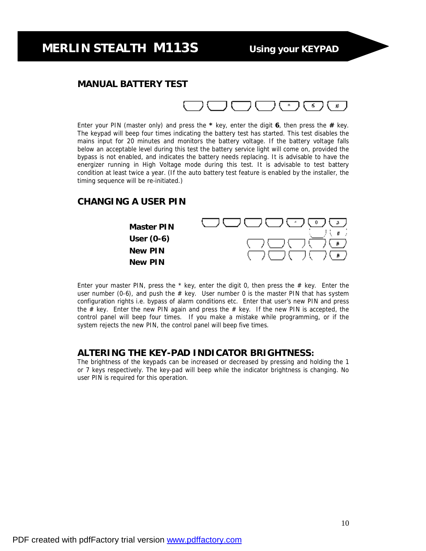## **MERLIN STEALTH M113S Using your KEYPAD**

#### **MANUAL BATTERY TEST**



Enter your PIN (master only) and press the **\*** key, enter the digit **6**, then press the **#** key. The keypad will beep four times indicating the battery test has started. This test disables the mains input for 20 minutes and monitors the battery voltage. If the battery voltage falls below an acceptable level during this test the battery service light will come on, provided the bypass is not enabled, and indicates the battery needs replacing. It is advisable to have the energizer running in High Voltage mode during this test. It is advisable to test battery condition at least twice a year. (If the auto battery test feature is enabled by the installer, the timing sequence will be re-initiated.)

#### **CHANGING A USER PIN**



Enter your master PIN, press the  $*$  key, enter the digit 0, then press the  $#$  key. Enter the user number (0-6), and push the  $#$  key. User number 0 is the master PIN that has system configuration rights i.e. bypass of alarm conditions etc. Enter that user's new PIN and press the  $#$  key. Enter the new PIN again and press the  $#$  key. If the new PIN is accepted, the control panel will beep four times. If you make a mistake while programming, or if the system rejects the new PIN, the control panel will beep five times.

#### **ALTERING THE KEY-PAD INDICATOR BRIGHTNESS:**

The brightness of the keypads can be increased or decreased by pressing and holding the 1 or 7 keys respectively. The key-pad will beep while the indicator brightness is changing. No user PIN is required for this operation.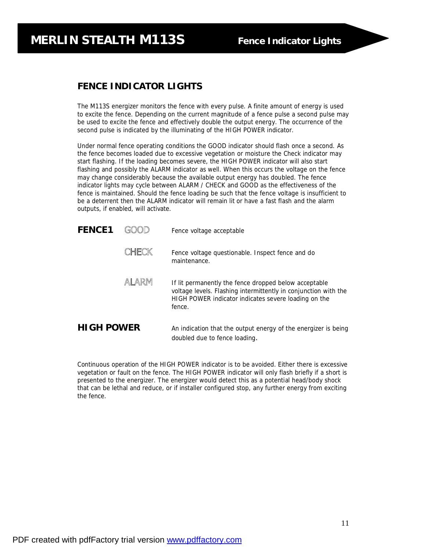## **MERLIN STEALTH M113S Fence Indicator Lights**

#### **FENCE INDICATOR LIGHTS**

The M113S energizer monitors the fence with every pulse. A finite amount of energy is used to excite the fence. Depending on the current magnitude of a fence pulse a second pulse may be used to excite the fence and effectively double the output energy. The occurrence of the second pulse is indicated by the illuminating of the HIGH POWER indicator.

**MERLIN S What the Energizer lights indicate**

Under normal fence operating conditions the GOOD indicator should flash once a second. As the fence becomes loaded due to excessive vegetation or moisture the Check indicator may start flashing. If the loading becomes severe, the HIGH POWER indicator will also start flashing and possibly the ALARM indicator as well. When this occurs the voltage on the fence may change considerably because the available output energy has doubled. The fence indicator lights may cycle between ALARM / CHECK and GOOD as the effectiveness of the fence is maintained. Should the fence loading be such that the fence voltage is insufficient to be a deterrent then the ALARM indicator will remain lit or have a fast flash and the alarm outputs, if enabled, will activate.

| <b>FENCE1</b>     |       | Fence voltage acceptable                                                                                                                                                                   |
|-------------------|-------|--------------------------------------------------------------------------------------------------------------------------------------------------------------------------------------------|
|                   | CHECK | Fence voltage questionable. Inspect fence and do<br>maintenance.                                                                                                                           |
|                   | ALARM | If lit permanently the fence dropped below acceptable<br>voltage levels. Flashing intermittently in conjunction with the<br>HIGH POWER indicator indicates severe loading on the<br>fence. |
| <b>HIGH POWER</b> |       | An indication that the output energy of the energizer is being<br>doubled due to fence loading.                                                                                            |

Continuous operation of the HIGH POWER indicator is to be avoided. Either there is excessive vegetation or fault on the fence. The HIGH POWER indicator will only flash briefly if a short is presented to the energizer. The energizer would detect this as a potential head/body shock that can be lethal and reduce, or if installer configured stop, any further energy from exciting the fence.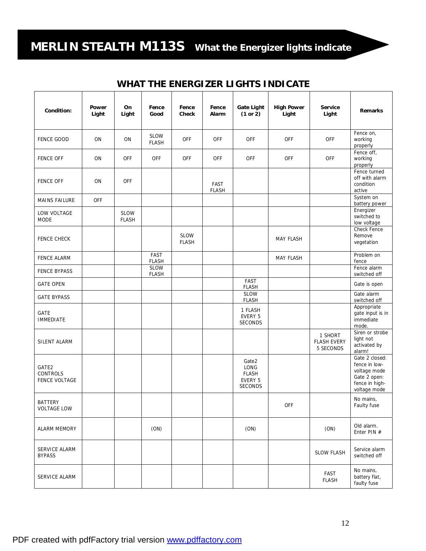# **MERLIN STEALTH M113S What the Energizer lights indicate**

### **WHAT THE ENERGIZER LIGHTS INDICATE**

| Condition:                                | Power<br>Light | On<br>Light                 | Fence<br>Good               | Fence<br>Check              | Fence<br>Alarm              | Gate Light<br>(1 or 2)                                     | <b>High Power</b><br>Light | Service<br>Light                           | Remarks                                                                                           |
|-------------------------------------------|----------------|-----------------------------|-----------------------------|-----------------------------|-----------------------------|------------------------------------------------------------|----------------------------|--------------------------------------------|---------------------------------------------------------------------------------------------------|
| <b>FENCE GOOD</b>                         | ON             | ON                          | SLOW<br><b>FLASH</b>        | <b>OFF</b>                  | <b>OFF</b>                  | OFF                                                        | <b>OFF</b>                 | <b>OFF</b>                                 | Fence on,<br>working<br>properly                                                                  |
| <b>FENCE OFF</b>                          | <b>ON</b>      | <b>OFF</b>                  | <b>OFF</b>                  | <b>OFF</b>                  | <b>OFF</b>                  | OFF                                                        | <b>OFF</b>                 | <b>OFF</b>                                 | Fence off,<br>working<br>properly                                                                 |
| <b>FENCE OFF</b>                          | ON             | <b>OFF</b>                  |                             |                             | <b>FAST</b><br><b>FLASH</b> |                                                            |                            |                                            | Fence turned<br>off with alarm<br>condition<br>active                                             |
| <b>MAINS FAILURE</b>                      | <b>OFF</b>     |                             |                             |                             |                             |                                                            |                            |                                            | System on<br>battery power                                                                        |
| LOW VOLTAGE<br><b>MODE</b>                |                | <b>SLOW</b><br><b>FLASH</b> |                             |                             |                             |                                                            |                            |                                            | Energizer<br>switched to<br>low voltage                                                           |
| <b>FENCE CHECK</b>                        |                |                             |                             | <b>SLOW</b><br><b>FLASH</b> |                             |                                                            | <b>MAY FLASH</b>           |                                            | <b>Check Fence</b><br>Remove<br>vegetation                                                        |
| <b>FENCE ALARM</b>                        |                |                             | <b>FAST</b><br><b>FLASH</b> |                             |                             |                                                            | <b>MAY FLASH</b>           |                                            | Problem on<br>fence                                                                               |
| <b>FENCE BYPASS</b>                       |                |                             | <b>SLOW</b><br><b>FLASH</b> |                             |                             |                                                            |                            |                                            | Fence alarm<br>switched off                                                                       |
| <b>GATE OPEN</b>                          |                |                             |                             |                             |                             | FAST<br><b>FLASH</b>                                       |                            |                                            | Gate is open                                                                                      |
| <b>GATE BYPASS</b>                        |                |                             |                             |                             |                             | <b>SLOW</b><br><b>FLASH</b>                                |                            |                                            | Gate alarm<br>switched off                                                                        |
| <b>GATE</b><br><b>IMMEDIATE</b>           |                |                             |                             |                             |                             | 1 FLASH<br>EVERY 5<br><b>SECONDS</b>                       |                            |                                            | Appropriate<br>gate input is in<br>immediate<br>mode.                                             |
| SILENT ALARM                              |                |                             |                             |                             |                             |                                                            |                            | 1 SHORT<br><b>FLASH EVERY</b><br>5 SECONDS | Siren or strobe<br>light not<br>activated by<br>alarm!                                            |
| GATE2<br>CONTROLS<br><b>FENCE VOLTAGE</b> |                |                             |                             |                             |                             | Gate2<br>LONG<br><b>FLASH</b><br>EVERY 5<br><b>SECONDS</b> |                            |                                            | Gate 2 closed:<br>fence in low-<br>voltage mode<br>Gate 2 open:<br>fence in high-<br>voltage mode |
| <b>BATTERY</b><br><b>VOLTAGE LOW</b>      |                |                             |                             |                             |                             |                                                            | OFF                        |                                            | No mains,<br>Faulty fuse                                                                          |
| <b>ALARM MEMORY</b>                       |                |                             | (ON)                        |                             |                             | (ON)                                                       |                            | (ON)                                       | Old alarm.<br>Enter PIN #                                                                         |
| SERVICE ALARM<br><b>BYPASS</b>            |                |                             |                             |                             |                             |                                                            |                            | <b>SLOW FLASH</b>                          | Service alarm<br>switched off                                                                     |
| SERVICE ALARM                             |                |                             |                             |                             |                             |                                                            |                            | FAST<br><b>FLASH</b>                       | No mains,<br>battery flat,<br>faulty fuse                                                         |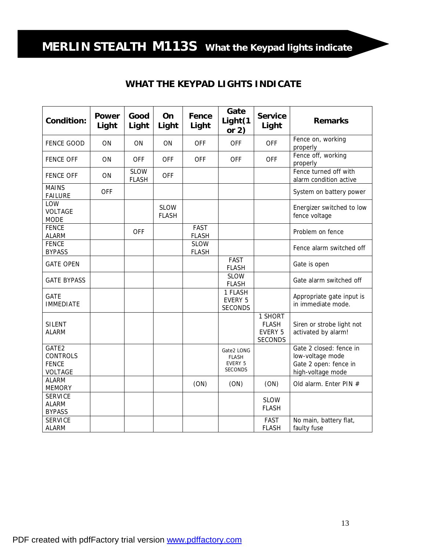# **MERLIN STEALTH M113S What the Keypad lights indicate**

### **WHAT THE KEYPAD LIGHTS INDICATE**

| Condition:                                                 | Power<br>Light | Good<br>Light               | On<br>Light                 | Fence<br>Light              | Gate<br>Light(1<br>or $2)$                                     | <b>Service</b><br>Light                                     | <b>Remarks</b>                                                                            |  |
|------------------------------------------------------------|----------------|-----------------------------|-----------------------------|-----------------------------|----------------------------------------------------------------|-------------------------------------------------------------|-------------------------------------------------------------------------------------------|--|
| <b>FENCE GOOD</b>                                          | ON             | ON                          | ON                          | <b>OFF</b>                  | <b>OFF</b>                                                     | <b>OFF</b>                                                  | Fence on, working<br>properly                                                             |  |
| <b>FENCE OFF</b>                                           | ON             | <b>OFF</b>                  | <b>OFF</b>                  | <b>OFF</b>                  | <b>OFF</b>                                                     | <b>OFF</b>                                                  | Fence off, working<br>properly                                                            |  |
| <b>FENCE OFF</b>                                           | ON             | <b>SLOW</b><br><b>FLASH</b> | <b>OFF</b>                  |                             |                                                                |                                                             | Fence turned off with<br>alarm condition active                                           |  |
| <b>MAINS</b><br><b>FAILURE</b>                             | <b>OFF</b>     |                             |                             |                             |                                                                |                                                             | System on battery power                                                                   |  |
| LOW<br><b>VOLTAGE</b><br><b>MODE</b>                       |                |                             | <b>SLOW</b><br><b>FLASH</b> |                             |                                                                |                                                             | Energizer switched to low<br>fence voltage                                                |  |
| <b>FENCE</b><br><b>ALARM</b>                               |                | <b>OFF</b>                  |                             | <b>FAST</b><br><b>FLASH</b> |                                                                |                                                             | Problem on fence                                                                          |  |
| <b>FENCE</b><br><b>BYPASS</b>                              |                |                             |                             | <b>SLOW</b><br><b>FLASH</b> |                                                                |                                                             | Fence alarm switched off                                                                  |  |
| <b>GATE OPEN</b>                                           |                |                             |                             |                             | <b>FAST</b><br><b>FLASH</b>                                    |                                                             | Gate is open                                                                              |  |
| <b>GATE BYPASS</b>                                         |                |                             |                             |                             | <b>SLOW</b><br><b>FLASH</b>                                    |                                                             | Gate alarm switched off                                                                   |  |
| <b>GATE</b><br><b>IMMEDIATE</b>                            |                |                             |                             |                             | 1 FLASH<br><b>EVERY 5</b><br><b>SECONDS</b>                    |                                                             | Appropriate gate input is<br>in immediate mode.                                           |  |
| <b>SILENT</b><br>ALARM                                     |                |                             |                             |                             |                                                                | 1 SHORT<br><b>FLASH</b><br><b>EVERY 5</b><br><b>SECONDS</b> | Siren or strobe light not<br>activated by alarm!                                          |  |
| GATE2<br><b>CONTROLS</b><br><b>FENCE</b><br><b>VOLTAGE</b> |                |                             |                             |                             | Gate2 LONG<br><b>FLASH</b><br><b>EVERY 5</b><br><b>SECONDS</b> |                                                             | Gate 2 closed: fence in<br>low-voltage mode<br>Gate 2 open: fence in<br>high-voltage mode |  |
| <b>ALARM</b><br><b>MEMORY</b>                              |                |                             |                             | (ON)                        | (ON)                                                           | (ON)                                                        | Old alarm. Enter PIN #                                                                    |  |
| <b>SERVICE</b><br><b>ALARM</b><br><b>BYPASS</b>            |                |                             |                             |                             |                                                                | <b>SLOW</b><br><b>FLASH</b>                                 |                                                                                           |  |
| <b>SERVICE</b><br><b>ALARM</b>                             |                |                             |                             |                             |                                                                | <b>FAST</b><br><b>FLASH</b>                                 | No main, battery flat,<br>faulty fuse                                                     |  |